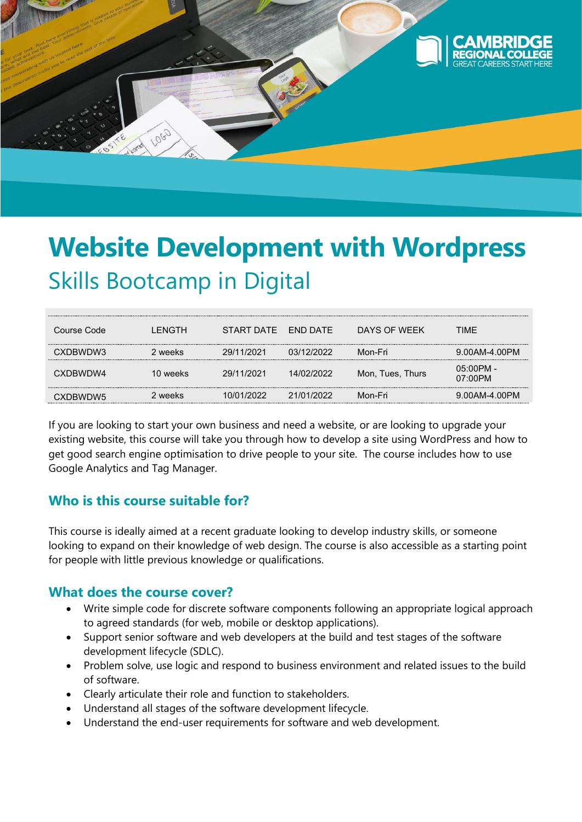

# **Website Development with Wordpress** Skills Bootcamp in Digital

| Course Code | I FNGTH  | START DATE FND DATE |            | DAYS OF WFFK     | TIME                    |
|-------------|----------|---------------------|------------|------------------|-------------------------|
| CXDBWDW3    | 2 weeks  | 29/11/2021          | 03/12/2022 | Mon-Fri          | 9.00AM-4.00PM           |
| CXDBWDW4    | 10 weeks | 29/11/2021          | 14/02/2022 | Mon, Tues, Thurs | 05:00PM -<br>$07:00$ PM |
| CXDBWDW5    | 2 weeks  | 10/01/2022          | 21/01/2022 | Mon-Fri          | 9.00AM-4.00PM           |

If you are looking to start your own business and need a website, or are looking to upgrade your existing website, this course will take you through how to develop a site using WordPress and how to get good search engine optimisation to drive people to your site. The course includes how to use Google Analytics and Tag Manager.

# **Who is this course suitable for?**

This course is ideally aimed at a recent graduate looking to develop industry skills, or someone looking to expand on their knowledge of web design. The course is also accessible as a starting point for people with little previous knowledge or qualifications.

### **What does the course cover?**

- Write simple code for discrete software components following an appropriate logical approach to agreed standards (for web, mobile or desktop applications).
- Support senior software and web developers at the build and test stages of the software development lifecycle (SDLC).
- Problem solve, use logic and respond to business environment and related issues to the build of software.
- Clearly articulate their role and function to stakeholders.
- Understand all stages of the software development lifecycle.
- Understand the end-user requirements for software and web development.